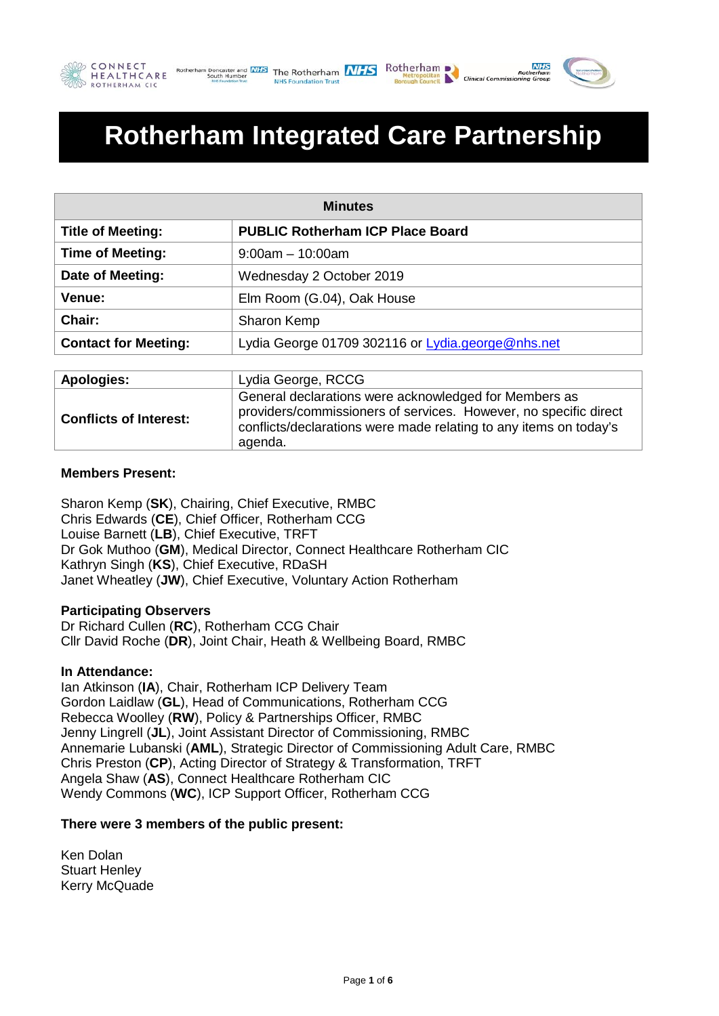





# **Rotherham Integrated Care Partnership**

| <b>Minutes</b>              |                                                   |
|-----------------------------|---------------------------------------------------|
| <b>Title of Meeting:</b>    | <b>PUBLIC Rotherham ICP Place Board</b>           |
| <b>Time of Meeting:</b>     | $9:00am - 10:00am$                                |
| Date of Meeting:            | Wednesday 2 October 2019                          |
| <b>Venue:</b>               | Elm Room (G.04), Oak House                        |
| Chair:                      | Sharon Kemp                                       |
| <b>Contact for Meeting:</b> | Lydia George 01709 302116 or Lydia.george@nhs.net |

| Apologies:                    | Lydia George, RCCG                                                                                                                                                                                        |
|-------------------------------|-----------------------------------------------------------------------------------------------------------------------------------------------------------------------------------------------------------|
| <b>Conflicts of Interest:</b> | General declarations were acknowledged for Members as<br>providers/commissioners of services. However, no specific direct<br>conflicts/declarations were made relating to any items on today's<br>agenda. |

# **Members Present:**

Sharon Kemp (**SK**), Chairing, Chief Executive, RMBC Chris Edwards (**CE**), Chief Officer, Rotherham CCG Louise Barnett (**LB**), Chief Executive, TRFT Dr Gok Muthoo (**GM**), Medical Director, Connect Healthcare Rotherham CIC Kathryn Singh (**KS**), Chief Executive, RDaSH Janet Wheatley (**JW**), Chief Executive, Voluntary Action Rotherham

# **Participating Observers**

Dr Richard Cullen (**RC**), Rotherham CCG Chair Cllr David Roche (**DR**), Joint Chair, Heath & Wellbeing Board, RMBC

### **In Attendance:**

Ian Atkinson (**IA**), Chair, Rotherham ICP Delivery Team Gordon Laidlaw (**GL**), Head of Communications, Rotherham CCG Rebecca Woolley (**RW**), Policy & Partnerships Officer, RMBC Jenny Lingrell (**JL**), Joint Assistant Director of Commissioning, RMBC Annemarie Lubanski (**AML**), Strategic Director of Commissioning Adult Care, RMBC Chris Preston (**CP**), Acting Director of Strategy & Transformation, TRFT Angela Shaw (**AS**), Connect Healthcare Rotherham CIC Wendy Commons (**WC**), ICP Support Officer, Rotherham CCG

# **There were 3 members of the public present:**

Ken Dolan Stuart Henley Kerry McQuade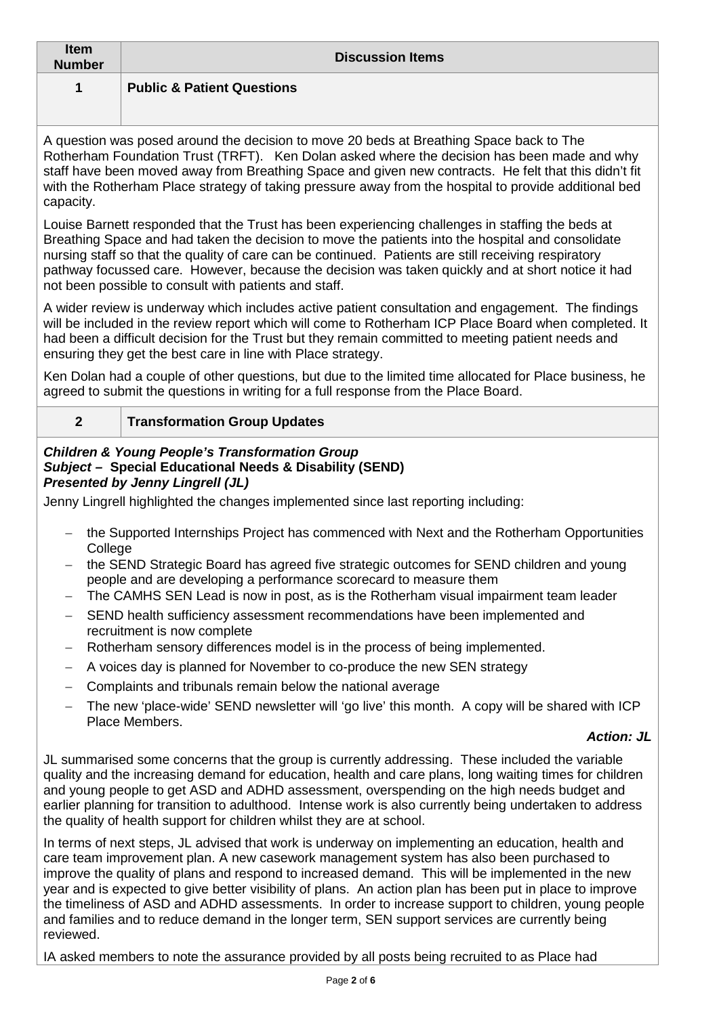| <b>Discussion Items</b>                                                                                                                                                               |
|---------------------------------------------------------------------------------------------------------------------------------------------------------------------------------------|
| <b>Public &amp; Patient Questions</b>                                                                                                                                                 |
| A question was posed around the decision to move 20 beds at Breathing Space back to The<br>Rotherham Foundation Trust (TRFT) Ken Dolan asked where the decision has been made and why |
|                                                                                                                                                                                       |

Rotherham Foundation Trust (TRFT). Ken Dolan asked where the decision has been made and why staff have been moved away from Breathing Space and given new contracts. He felt that this didn't fit with the Rotherham Place strategy of taking pressure away from the hospital to provide additional bed capacity.

Louise Barnett responded that the Trust has been experiencing challenges in staffing the beds at Breathing Space and had taken the decision to move the patients into the hospital and consolidate nursing staff so that the quality of care can be continued. Patients are still receiving respiratory pathway focussed care. However, because the decision was taken quickly and at short notice it had not been possible to consult with patients and staff.

A wider review is underway which includes active patient consultation and engagement. The findings will be included in the review report which will come to Rotherham ICP Place Board when completed. It had been a difficult decision for the Trust but they remain committed to meeting patient needs and ensuring they get the best care in line with Place strategy.

Ken Dolan had a couple of other questions, but due to the limited time allocated for Place business, he agreed to submit the questions in writing for a full response from the Place Board.

# **2 Transformation Group Updates**

# *Children & Young People's Transformation Group Subject –* **Special Educational Needs & Disability (SEND)** *Presented by Jenny Lingrell (JL)*

Jenny Lingrell highlighted the changes implemented since last reporting including:

- − the Supported Internships Project has commenced with Next and the Rotherham Opportunities **College**
- the SEND Strategic Board has agreed five strategic outcomes for SEND children and young people and are developing a performance scorecard to measure them
- The CAMHS SEN Lead is now in post, as is the Rotherham visual impairment team leader
- − SEND health sufficiency assessment recommendations have been implemented and recruitment is now complete
- Rotherham sensory differences model is in the process of being implemented.
- − A voices day is planned for November to co-produce the new SEN strategy
- − Complaints and tribunals remain below the national average
- The new 'place-wide' SEND newsletter will 'go live' this month. A copy will be shared with ICP Place Members.

# *Action: JL*

JL summarised some concerns that the group is currently addressing. These included the variable quality and the increasing demand for education, health and care plans, long waiting times for children and young people to get ASD and ADHD assessment, overspending on the high needs budget and earlier planning for transition to adulthood. Intense work is also currently being undertaken to address the quality of health support for children whilst they are at school.

In terms of next steps, JL advised that work is underway on implementing an education, health and care team improvement plan. A new casework management system has also been purchased to improve the quality of plans and respond to increased demand. This will be implemented in the new year and is expected to give better visibility of plans. An action plan has been put in place to improve the timeliness of ASD and ADHD assessments. In order to increase support to children, young people and families and to reduce demand in the longer term, SEN support services are currently being reviewed.

IA asked members to note the assurance provided by all posts being recruited to as Place had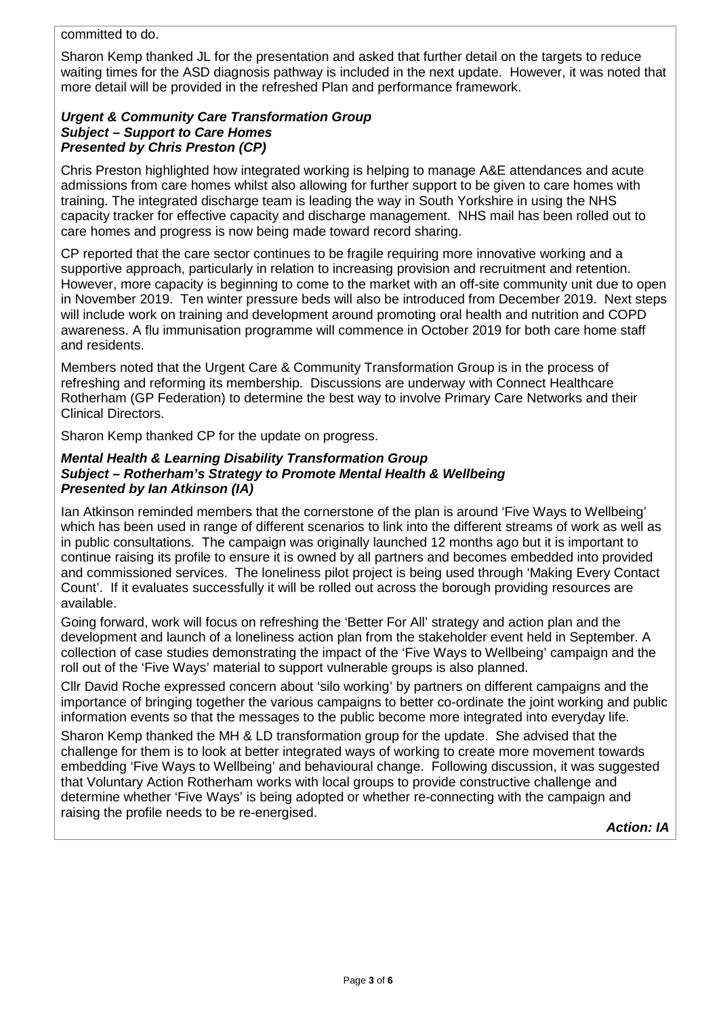committed to do.

Sharon Kemp thanked JL for the presentation and asked that further detail on the targets to reduce waiting times for the ASD diagnosis pathway is included in the next update. However, it was noted that more detail will be provided in the refreshed Plan and performance framework.

# *Urgent & Community Care Transformation Group Subject – Support to Care Homes Presented by Chris Preston (CP)*

Chris Preston highlighted how integrated working is helping to manage A&E attendances and acute admissions from care homes whilst also allowing for further support to be given to care homes with training. The integrated discharge team is leading the way in South Yorkshire in using the NHS capacity tracker for effective capacity and discharge management. NHS mail has been rolled out to care homes and progress is now being made toward record sharing.

CP reported that the care sector continues to be fragile requiring more innovative working and a supportive approach, particularly in relation to increasing provision and recruitment and retention. However, more capacity is beginning to come to the market with an off-site community unit due to open in November 2019. Ten winter pressure beds will also be introduced from December 2019. Next steps will include work on training and development around promoting oral health and nutrition and COPD awareness. A flu immunisation programme will commence in October 2019 for both care home staff and residents.

Members noted that the Urgent Care & Community Transformation Group is in the process of refreshing and reforming its membership. Discussions are underway with Connect Healthcare Rotherham (GP Federation) to determine the best way to involve Primary Care Networks and their Clinical Directors.

Sharon Kemp thanked CP for the update on progress.

## *Mental Health & Learning Disability Transformation Group Subject – Rotherham's Strategy to Promote Mental Health & Wellbeing Presented by Ian Atkinson (IA)*

Ian Atkinson reminded members that the cornerstone of the plan is around 'Five Ways to Wellbeing' which has been used in range of different scenarios to link into the different streams of work as well as in public consultations. The campaign was originally launched 12 months ago but it is important to continue raising its profile to ensure it is owned by all partners and becomes embedded into provided and commissioned services. The loneliness pilot project is being used through 'Making Every Contact Count'. If it evaluates successfully it will be rolled out across the borough providing resources are available.

Going forward, work will focus on refreshing the 'Better For All' strategy and action plan and the development and launch of a loneliness action plan from the stakeholder event held in September. A collection of case studies demonstrating the impact of the 'Five Ways to Wellbeing' campaign and the roll out of the 'Five Ways' material to support vulnerable groups is also planned.

Cllr David Roche expressed concern about 'silo working' by partners on different campaigns and the importance of bringing together the various campaigns to better co-ordinate the joint working and public information events so that the messages to the public become more integrated into everyday life.

Sharon Kemp thanked the MH & LD transformation group for the update. She advised that the challenge for them is to look at better integrated ways of working to create more movement towards embedding 'Five Ways to Wellbeing' and behavioural change. Following discussion, it was suggested that Voluntary Action Rotherham works with local groups to provide constructive challenge and determine whether 'Five Ways' is being adopted or whether re-connecting with the campaign and raising the profile needs to be re-energised.

*Action: IA*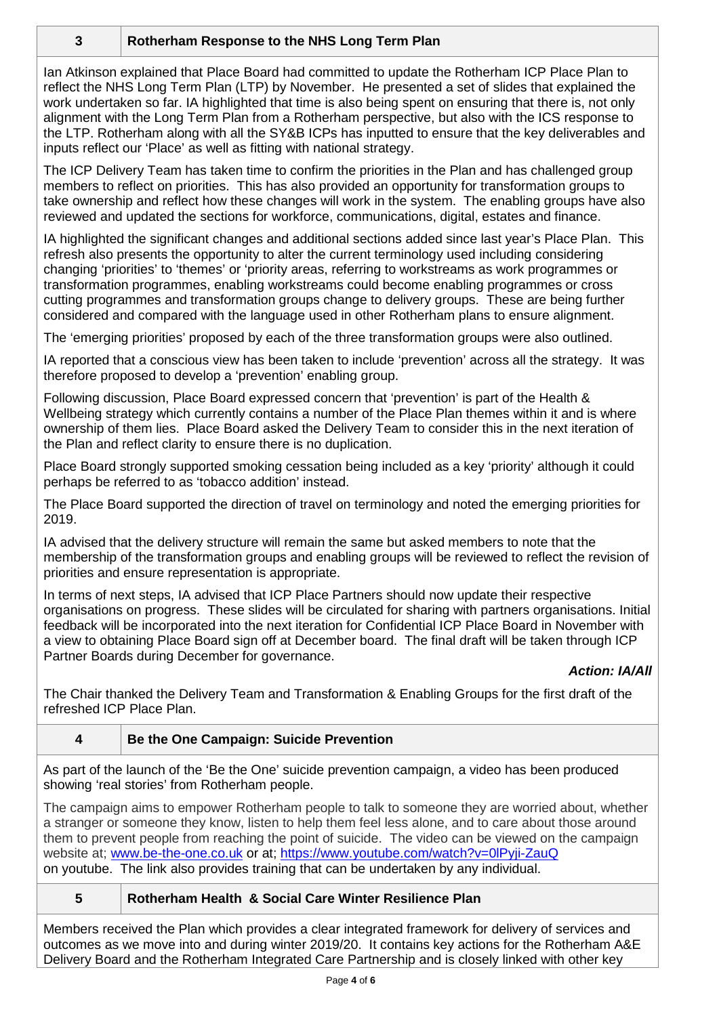# **3 Rotherham Response to the NHS Long Term Plan**

Ian Atkinson explained that Place Board had committed to update the Rotherham ICP Place Plan to reflect the NHS Long Term Plan (LTP) by November. He presented a set of slides that explained the work undertaken so far. IA highlighted that time is also being spent on ensuring that there is, not only alignment with the Long Term Plan from a Rotherham perspective, but also with the ICS response to the LTP. Rotherham along with all the SY&B ICPs has inputted to ensure that the key deliverables and inputs reflect our 'Place' as well as fitting with national strategy.

The ICP Delivery Team has taken time to confirm the priorities in the Plan and has challenged group members to reflect on priorities. This has also provided an opportunity for transformation groups to take ownership and reflect how these changes will work in the system. The enabling groups have also reviewed and updated the sections for workforce, communications, digital, estates and finance.

IA highlighted the significant changes and additional sections added since last year's Place Plan. This refresh also presents the opportunity to alter the current terminology used including considering changing 'priorities' to 'themes' or 'priority areas, referring to workstreams as work programmes or transformation programmes, enabling workstreams could become enabling programmes or cross cutting programmes and transformation groups change to delivery groups. These are being further considered and compared with the language used in other Rotherham plans to ensure alignment.

The 'emerging priorities' proposed by each of the three transformation groups were also outlined.

IA reported that a conscious view has been taken to include 'prevention' across all the strategy. It was therefore proposed to develop a 'prevention' enabling group.

Following discussion, Place Board expressed concern that 'prevention' is part of the Health & Wellbeing strategy which currently contains a number of the Place Plan themes within it and is where ownership of them lies. Place Board asked the Delivery Team to consider this in the next iteration of the Plan and reflect clarity to ensure there is no duplication.

Place Board strongly supported smoking cessation being included as a key 'priority' although it could perhaps be referred to as 'tobacco addition' instead.

The Place Board supported the direction of travel on terminology and noted the emerging priorities for 2019.

IA advised that the delivery structure will remain the same but asked members to note that the membership of the transformation groups and enabling groups will be reviewed to reflect the revision of priorities and ensure representation is appropriate.

In terms of next steps, IA advised that ICP Place Partners should now update their respective organisations on progress. These slides will be circulated for sharing with partners organisations. Initial feedback will be incorporated into the next iteration for Confidential ICP Place Board in November with a view to obtaining Place Board sign off at December board. The final draft will be taken through ICP Partner Boards during December for governance.

# *Action: IA/All*

The Chair thanked the Delivery Team and Transformation & Enabling Groups for the first draft of the refreshed ICP Place Plan.

# **4 Be the One Campaign: Suicide Prevention**

As part of the launch of the 'Be the One' suicide prevention campaign, a video has been produced showing 'real stories' from Rotherham people.

The campaign aims to empower Rotherham people to talk to someone they are worried about, whether a stranger or someone they know, listen to help them feel less alone, and to care about those around them to prevent people from reaching the point of suicide. The video can be viewed on the campaign website at; [www.be-the-one.co.uk](http://www.be-the-one.co.uk/) or at;<https://www.youtube.com/watch?v=0lPyji-ZauQ> on youtube. The link also provides training that can be undertaken by any individual.

# **5 Rotherham Health & Social Care Winter Resilience Plan**

Members received the Plan which provides a clear integrated framework for delivery of services and outcomes as we move into and during winter 2019/20. It contains key actions for the Rotherham A&E Delivery Board and the Rotherham Integrated Care Partnership and is closely linked with other key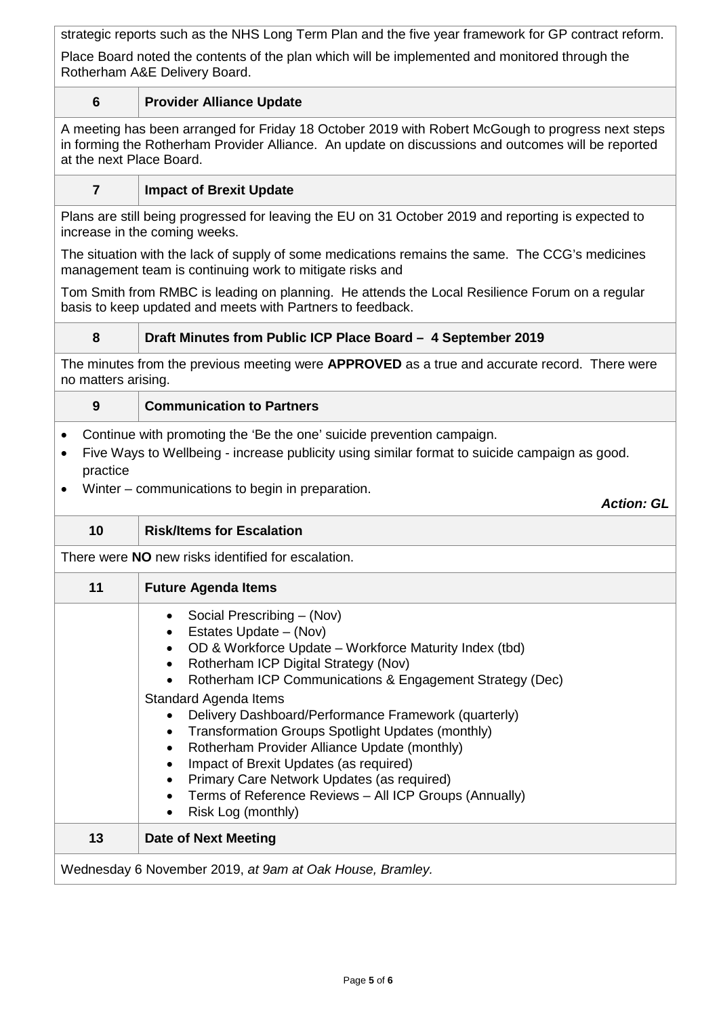strategic reports such as the NHS Long Term Plan and the five year framework for GP contract reform.

Place Board noted the contents of the plan which will be implemented and monitored through the Rotherham A&E Delivery Board.

# **6 Provider Alliance Update**

A meeting has been arranged for Friday 18 October 2019 with Robert McGough to progress next steps in forming the Rotherham Provider Alliance. An update on discussions and outcomes will be reported at the next Place Board.

# **7 Impact of Brexit Update**

Plans are still being progressed for leaving the EU on 31 October 2019 and reporting is expected to increase in the coming weeks.

The situation with the lack of supply of some medications remains the same. The CCG's medicines management team is continuing work to mitigate risks and

Tom Smith from RMBC is leading on planning. He attends the Local Resilience Forum on a regular basis to keep updated and meets with Partners to feedback.

# **8 Draft Minutes from Public ICP Place Board – 4 September 2019**

The minutes from the previous meeting were **APPROVED** as a true and accurate record. There were no matters arising.

## **9 Communication to Partners**

- Continue with promoting the 'Be the one' suicide prevention campaign.
- Five Ways to Wellbeing increase publicity using similar format to suicide campaign as good. practice
- Winter communications to begin in preparation.

# *Action: GL*

| 10                                                        | <b>Risk/Items for Escalation</b>                                                                                                                                                                                                                                                                                                                                                                                                                                                                                                                                                                                                                               |  |
|-----------------------------------------------------------|----------------------------------------------------------------------------------------------------------------------------------------------------------------------------------------------------------------------------------------------------------------------------------------------------------------------------------------------------------------------------------------------------------------------------------------------------------------------------------------------------------------------------------------------------------------------------------------------------------------------------------------------------------------|--|
| There were <b>NO</b> new risks identified for escalation. |                                                                                                                                                                                                                                                                                                                                                                                                                                                                                                                                                                                                                                                                |  |
| 11                                                        | <b>Future Agenda Items</b>                                                                                                                                                                                                                                                                                                                                                                                                                                                                                                                                                                                                                                     |  |
|                                                           | Social Prescribing - (Nov)<br>Estates Update – (Nov)<br>OD & Workforce Update – Workforce Maturity Index (tbd)<br>Rotherham ICP Digital Strategy (Nov)<br>$\bullet$<br>Rotherham ICP Communications & Engagement Strategy (Dec)<br>Standard Agenda Items<br>Delivery Dashboard/Performance Framework (quarterly)<br>$\bullet$<br>Transformation Groups Spotlight Updates (monthly)<br>$\bullet$<br>Rotherham Provider Alliance Update (monthly)<br>$\bullet$<br>Impact of Brexit Updates (as required)<br>$\bullet$<br>Primary Care Network Updates (as required)<br>Terms of Reference Reviews - All ICP Groups (Annually)<br>Risk Log (monthly)<br>$\bullet$ |  |
| 13                                                        | <b>Date of Next Meeting</b>                                                                                                                                                                                                                                                                                                                                                                                                                                                                                                                                                                                                                                    |  |
| Wednesday 6 November 2019, at 9am at Oak House, Bramley.  |                                                                                                                                                                                                                                                                                                                                                                                                                                                                                                                                                                                                                                                                |  |